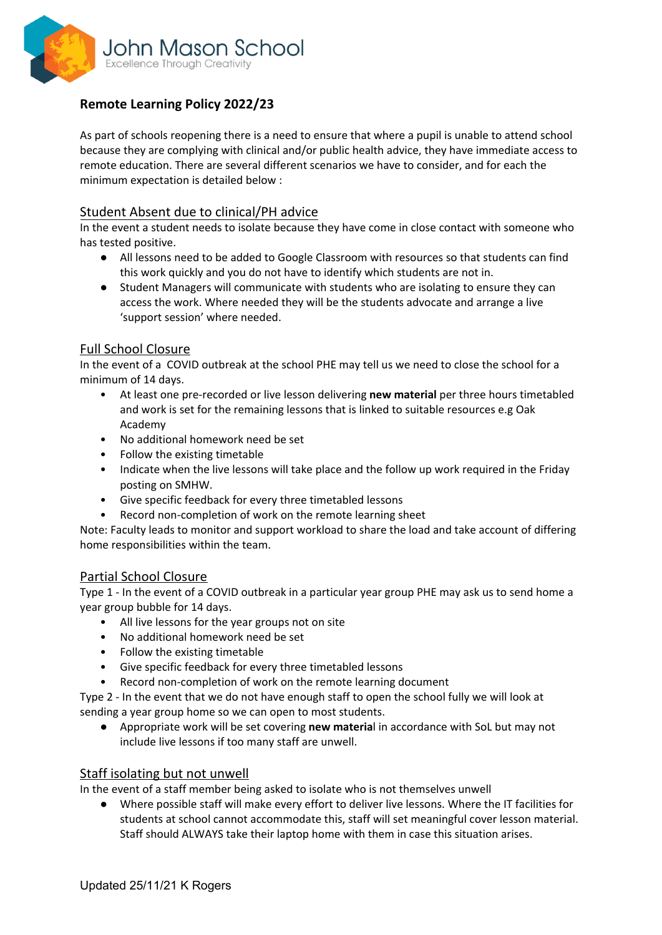

# **Remote Learning Policy 2022/23**

As part of schools reopening there is a need to ensure that where a pupil is unable to attend school because they are complying with clinical and/or public health advice, they have immediate access to remote education. There are several different scenarios we have to consider, and for each the minimum expectation is detailed below :

#### Student Absent due to clinical/PH advice

In the event a student needs to isolate because they have come in close contact with someone who has tested positive.

- All lessons need to be added to Google Classroom with resources so that students can find this work quickly and you do not have to identify which students are not in.
- Student Managers will communicate with students who are isolating to ensure they can access the work. Where needed they will be the students advocate and arrange a live 'support session' where needed.

#### Full School Closure

In the event of a COVID outbreak at the school PHE may tell us we need to close the school for a minimum of 14 days.

- At least one pre-recorded or live lesson delivering **new material** per three hours timetabled and work is set for the remaining lessons that is linked to suitable resources e.g Oak Academy
- No additional homework need be set
- Follow the existing timetable
- Indicate when the live lessons will take place and the follow up work required in the Friday posting on SMHW.
- Give specific feedback for every three timetabled lessons
- Record non-completion of work on the remote learning sheet

Note: Faculty leads to monitor and support workload to share the load and take account of differing home responsibilities within the team.

#### Partial School Closure

Type 1 - In the event of a COVID outbreak in a particular year group PHE may ask us to send home a year group bubble for 14 days.

- All live lessons for the year groups not on site
- No additional homework need be set
- Follow the existing timetable
- Give specific feedback for every three timetabled lessons
- Record non-completion of work on the remote learning document

Type 2 - In the event that we do not have enough staff to open the school fully we will look at sending a year group home so we can open to most students.

● Appropriate work will be set covering **new materia**l in accordance with SoL but may not include live lessons if too many staff are unwell.

#### Staff isolating but not unwell

In the event of a staff member being asked to isolate who is not themselves unwell

● Where possible staff will make every effort to deliver live lessons. Where the IT facilities for students at school cannot accommodate this, staff will set meaningful cover lesson material. Staff should ALWAYS take their laptop home with them in case this situation arises.